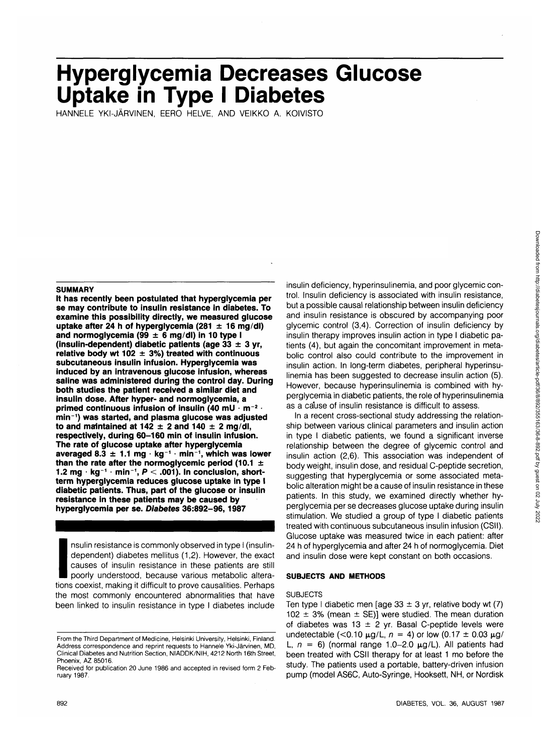# **Hyperglycemia Decreases Glucose Uptake in Type I Diabetes**

HANNELE YKI-JARVINEN, EERO HELVE, AND VEIKKO A. KOIVISTO

#### **SUMMARY**

**It has recently been postulated that hyperglycemia per se may contribute to insulin resistance in diabetes. To examine this possibility directly, we measured glucose uptake after 24 h of hyperglycemia (281 ±1 6 mg/dl) and normoglycemia (99 ± 6 mg/dl) in 10 type I (insulin-dependent) diabetic patients (age 33 ± 3 yr, relative body wt 102 ± 3%) treated with continuous subcutaneous insulin infusion. Hyperglycemia was induced by an intravenous glucose infusion, whereas saline was administered during the control day. During both studies the patient received a similar diet and insulin dose. After hyper- and normoglycemia, a** primed continuous infusion of insulin (40 mU  $\cdot$  m<sup>-2</sup> **min~1 ) was started, and plasma glucose was adjusted** to and maintained at  $142 \pm 2$  and  $140 \pm 2$  mg/dl, **respectively, during 60-160 min of insulin infusion. The rate of glucose uptake after hyperglycemia averaged 8.3 ± 1.1 mg • kg <sup>1</sup> • min<sup>1</sup> , which was lower than the rate after the normoglycemic period (10.1 ± 1.2 mg • kg~<sup>1</sup> • min<sup>1</sup> , P < .001). In conclusion, shortterm hyperglycemia reduces glucose uptake in type I diabetic patients. Thus, part of the glucose or insulin resistance in these patients may be caused by hyperglycemia per se. Diabetes 36:892-96,1987**

hype<br>
Index<br>
Index<br>
Items<br>
Items<br>
Items<br>
Items<br>
Items<br>
Items<br>
Items<br>
Items<br>
Items<br>
Items<br>
Items<br>
Items<br>
Items<br>
Items<br>
Items<br>
Items<br>
Items<br>
Items<br>
Items<br>
Items<br>
Items<br>
Items<br>
Items<br>
Items<br>
Items<br>
Items<br>
Items<br>
Items<br>
Items<br> nsulin resistance is commonly observed in type I (insulindependent) diabetes mellitus (1,2). However, the exact causes of insulin resistance in these patients are still poorly understood, because various metabolic alterations coexist, making it difficult to prove causalities. Perhaps the most commonly encountered abnormalities that have been linked to insulin resistance in type I diabetes include insulin deficiency, hyperinsulinemia, and poorglycemic control. Insulin deficiency is associated with insulin resistance, but a possible causal relationship between insulin deficiency and insulin resistance is obscured by accompanying poor glycemic control (3,4). Correction of insulin deficiency by insulin therapy improves insulin action in type I diabetic patients (4), but again the concomitant improvement in metabolic control also could contribute to the improvement in insulin action. In long-term diabetes, peripheral hyperinsulinemia has been suggested to decrease insulin action (5). However, because hyperinsulinemia is combined with hyperglycemia in diabetic patients, the role of hyperinsulinemia as a cause of insulin resistance is difficult to assess.

In a recent cross-sectional study addressing the relationship between various clinical parameters and insulin action in type I diabetic patients, we found a significant inverse relationship between the degree of glycemic control and insulin action (2,6). This association was independent of body weight, insulin dose, and residual C-peptide secretion, suggesting that hyperglycemia or some associated metabolic alteration might be a cause of insulin resistance in these patients. In this study, we examined directly whether hyperglycemia per se decreases glucose uptake during insulin stimulation. We studied a group of type I diabetic patients treated with continuous subcutaneous insulin infusion (CSII). Glucose uptake was measured twice in each patient: after 24 h of hyperglycemia and after 24 h of normoglycemia. Diet and insulin dose were kept constant on both occasions.

#### **SUBJECTS AND METHODS**

#### **SUBJECTS**

Ten type I diabetic men [age  $33 \pm 3$  yr, relative body wt (7) 102  $\pm$  3% (mean  $\pm$  SE)] were studied. The mean duration of diabetes was 13  $\pm$  2 yr. Basal C-peptide levels were undetectable (< $0.10 \mu g/L$ ,  $n = 4$ ) or low ( $0.17 \pm 0.03 \mu g/M$ L,  $n = 6$ ) (normal range 1.0-2.0  $\mu$ g/L). All patients had been treated with CSII therapy for at least 1 mo before the study. The patients used a portable, battery-driven infusion pump (model AS6C, Auto-Syringe, Hooksett, NH, or Nordisk

From the Third Department of Medicine, Helsinki University, Helsinki, Finland. Address correspondence and reprint requests to Hannele Yki-Jarvinen, MD, Clinical Diabetes and Nutrition Section, NIADDK/NIH, 4212 North 16th Street, Phoenix, AZ 85016.

Received for publication 20 June 1986 and accepted in revised form 2 February 1987.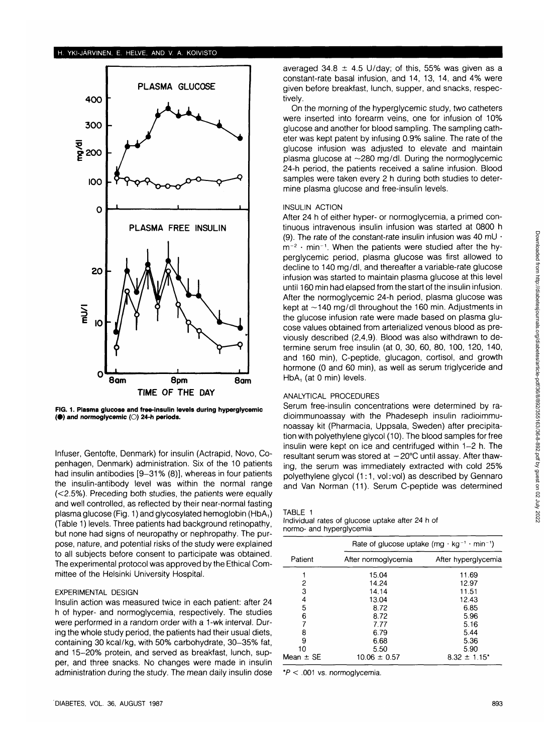

**FIG. 1. Plasma glucose and free-insulin levels during hyperglycemic ( •) and normoglycemic (O) 24-h periods.**

Infuser, Gentofte, Denmark) for insulin (Actrapid, Novo, Copenhagen, Denmark) administration. Six of the 10 patients had insulin antibodies [9-31% (8)], whereas in four patients the insulin-antibody level was within the normal range (<2.5%). Preceding both studies, the patients were equally and well controlled, as reflected by their near-normal fasting plasma glucose (Fig. 1) and glycosylated hemoglobin (HbA,) (Table 1) levels. Three patients had background retinopathy, but none had signs of neuropathy or nephropathy. The purpose, nature, and potential risks of the study were explained to all subjects before consent to participate was obtained. The experimental protocol was approved by the Ethical Committee of the Helsinki University Hospital.

## EXPERIMENTAL DESIGN

Insulin action was measured twice in each patient: after 24 h of hyper- and normoglycemia, respectively. The studies were performed in a random order with a 1-wk interval. During the whole study period, the patients had their usual diets, containing 30 kcal/kg, with 50% carbohydrate, 30-35% fat, and 15-20% protein, and served as breakfast, lunch, supper, and three snacks. No changes were made in insulin administration during the study. The mean daily insulin dose

averaged 34.8  $\pm$  4.5 U/day; of this, 55% was given as a constant-rate basal infusion, and 14, 13, 14, and 4% were given before breakfast, lunch, supper, and snacks, respectively.

On the morning of the hyperglycemic study, two catheters were inserted into forearm veins, one for infusion of 10% glucose and another for blood sampling. The sampling catheter was kept patent by infusing 0.9% saline. The rate of the glucose infusion was adjusted to elevate and maintain plasma glucose at  $\sim$ 280 mg/dl. During the normoglycemic 24-h period, the patients received a saline infusion. Blood samples were taken every 2 h during both studies to determine plasma glucose and free-insulin levels.

#### INSULIN ACTION

After 24 h of either hyper- or normoglycemia, a primed continuous intravenous insulin infusion was started at 0800 h (9). The rate of the constant-rate insulin infusion was 40 mU  $\cdot$  $m^{-2}$   $\cdot$  min<sup>-1</sup>. When the patients were studied after the hyperglycemic period, plasma glucose was first allowed to decline to 140 mg/dl, and thereafter a variable-rate glucose infusion was started to maintain plasma glucose at this level until 160 min had elapsed from the start of the insulin infusion. After the normoglycemic 24-h period, plasma glucose was kept at  $\sim$ 140 mg/dl throughout the 160 min. Adjustments in the glucose infusion rate were made based on plasma glucose values obtained from arterialized venous blood as previously described (2,4,9). Blood was also withdrawn to determine serum free insulin (at 0, 30, 60, 80, 100, 120, 140, and 160 min), C-peptide, glucagon, cortisol, and growth hormone (0 and 60 min), as well as serum triglyceride and  $HbA_1$  (at 0 min) levels.

## ANALYTICAL PROCEDURES

Serum free-insulin concentrations were determined by radioimmunoassay with the Phadeseph insulin radioimmunoassay kit (Pharmacia, Uppsala, Sweden) after precipitation with polyethylene glycol (10). The blood samples for free insulin were kept on ice and centrifuged within 1-2 h. The resultant serum was stored at  $-20^{\circ}$ C until assay. After thawing, the serum was immediately extracted with cold 25% polyethylene glycol  $(1:1, vol:vol)$  as described by Gennaro and Van Norman (11). Serum C-peptide was determined

| . .<br>г | r. |  |
|----------|----|--|

Individual rates of glucose uptake after 24 h of normo- and hyperglycemia

|               | Rate of glucose uptake $(mg \cdot kg^{-1} \cdot min^{-1})$ |                              |  |
|---------------|------------------------------------------------------------|------------------------------|--|
| Patient       | After normoglycemia                                        | After hyperglycemia          |  |
|               | 15.04                                                      | 11.69                        |  |
| 2             | 14.24                                                      | 12.97                        |  |
| 3             | 14.14                                                      | 11.51                        |  |
| 4             | 13.04                                                      | 12.43                        |  |
| 5             | 8.72                                                       | 6.85                         |  |
| 6             | 8.72                                                       | 5.96                         |  |
|               | 7.77                                                       | 5.16                         |  |
| 8             | 6.79                                                       | 5.44                         |  |
| 9             | 6.68                                                       | 5.36                         |  |
| 10            | 5.50                                                       | 5.90                         |  |
| Mean $\pm$ SE | $10.06 \pm 0.57$                                           | $8.32 \pm 1.15$ <sup>*</sup> |  |

 $*P < .001$  vs. normoglycemia.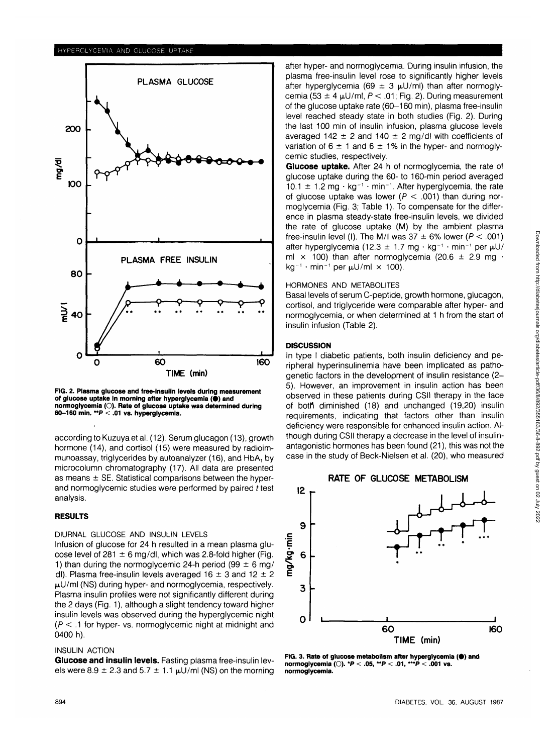

**FIG. 2. Plasma glucose and free-insulin levels during measurement of glucose uptake In morning after hyperglycemia (•) and normoglycemia (O). Rate of glucose uptake was determined during 60-160 min. \*\*P < .01 vs. hyperglycemia.**

according to Kuzuya et al. (12). Serum glucagon (13), growth hormone (14), and cortisol (15) were measured by radioimmunoassay, triglycerides by autoanalyzer (16), and HbA, by microcolumn chromatography (17). All data are presented as means  $\pm$  SE. Statistical comparisons between the hyperand normoglycemic studies were performed by paired t test analysis.

# **RESULTS**

# DIURNAL GLUCOSE AND INSULIN LEVELS

Infusion of glucose for 24 h resulted in a mean plasma glucose level of 281  $\pm$  6 mg/dl, which was 2.8-fold higher (Fig. 1) than during the normoglycemic 24-h period (99  $\pm$  6 mg/ dl). Plasma free-insulin levels averaged  $16 \pm 3$  and  $12 \pm 2$  $\mu$ U/ml (NS) during hyper- and normoglycemia, respectively. Plasma insulin profiles were not significantly different during the 2 days (Fig. 1), although a slight tendency toward higher insulin levels was observed during the hyperglycemic night  $(P < .1$  for hyper- vs. normoglycemic night at midnight and 0400 h).

## INSULIN ACTION

**Glucose and insulin levels.** Fasting plasma free-insulin levels were 8.9  $\pm$  2.3 and 5.7  $\pm$  1.1  $\mu$ U/ml (NS) on the morning

after hyper- and normoglycemia. During insulin infusion, the plasma free-insulin level rose to significantly higher levels after hyperglycemia (69  $\pm$  3  $\mu$ U/ml) than after normoglycemia (53  $\pm$  4  $\mu$ U/ml, P < .01; Fig. 2). During measurement of the glucose uptake rate (60-160 min), plasma free-insulin level reached steady state in both studies (Fig. 2). During the last 100 min of insulin infusion, plasma glucose levels averaged 142  $\pm$  2 and 140  $\pm$  2 mg/dl with coefficients of variation of  $6 \pm 1$  and  $6 \pm 1\%$  in the hyper- and normoglycemic studies, respectively.

**Glucose uptake.** After 24 h of normoglycemia, the rate of glucose uptake during the 60- to 160-min period averaged  $10.1 \pm 1.2$  mg  $\cdot$  kg<sup>-1</sup>  $\cdot$  min<sup>-1</sup>. After hyperglycemia, the rate of glucose uptake was lower ( $P < .001$ ) than during normoglycemia (Fig. 3; Table 1). To compensate for the difference in plasma steady-state free-insulin levels, we divided the rate of glucose uptake (M) by the ambient plasma free-insulin level (I). The M/I was  $37 \pm 6\%$  lower ( $P < .001$ ) after hyperglycemia (12.3  $\pm$  1.7 mg  $\cdot$  kg<sup>-1</sup>  $\cdot$  min<sup>-1</sup> per  $\mu$ U/ ml  $\times$  100) than after normoglycemia (20.6  $\pm$  2.9 mg  $\cdot$ kg<sup>-1</sup> · min<sup>-1</sup> per  $\mu$ U/ml  $\times$  100).

# HORMONES AND METABOLITES

Basal levels of serum C-peptide, growth hormone, glucagon, cortisol, and triglyceride were comparable after hyper- and normoglycemia, or when determined at 1 h from the start of insulin infusion (Table 2).

## **DISCUSSION**

In type I diabetic patients, both insulin deficiency and peripheral hyperinsulinemia have been implicated as pathogenetic factors in the development of insulin resistance (2- 5). However, an improvement in insulin action has been observed in these patients during CSII therapy in the face of both diminished (18) and unchanged (19,20) insulin requirements, indicating that factors other than insulin deficiency were responsible for enhanced insulin action. Although during CSII therapy a decrease in the level of insulinantagonistic hormones has been found (21), this was not the case in the study of Beck-Nielsen et al. (20), who measured





FIG. 3. Rate of glucose metabolism after hyperglycemia (<sup>a</sup>) and **normoglycemia (O). \*P < .05, \*\*P < .01, \*\*\*P < .001 vs. normoglycemia.**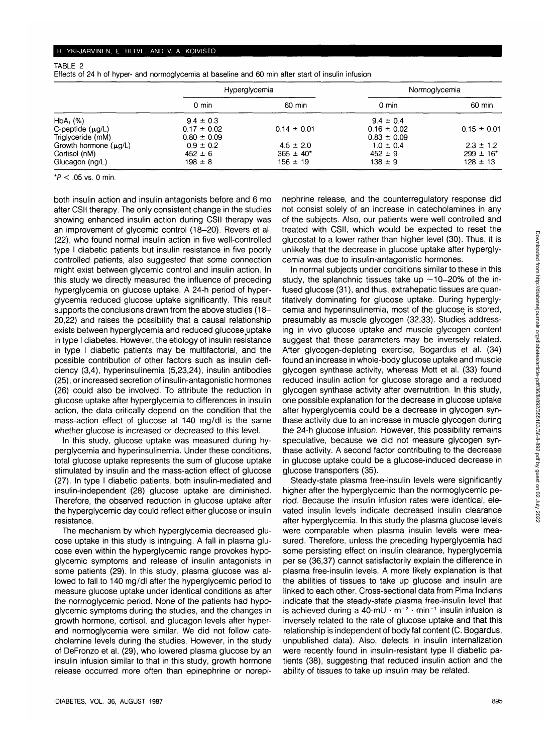# TABLE 2

Effects of 24 h of hyper- and normoglycemia at baseline and 60 min after start of insulin infusion

|                            | <b>Hyperglycemia</b> |                 | Normoglycemia   |                 |
|----------------------------|----------------------|-----------------|-----------------|-----------------|
|                            | 0 min                | 60 min          | 0 min           | 60 min          |
| $HbA_1$ (%)                | $9.4 \pm 0.3$        |                 | $9.4 \pm 0.4$   |                 |
| C-peptide $(\mu g/L)$      | $0.17 \pm 0.02$      | $0.14 \pm 0.01$ | $0.16 \pm 0.02$ | $0.15 \pm 0.01$ |
| Triglyceride (mM)          | $0.80 \pm 0.09$      |                 | $0.83 \pm 0.09$ |                 |
| Growth hormone $(\mu g/L)$ | $0.9 \pm 0.2$        | $4.5 \pm 2.0$   | $1.0 \pm 0.4$   | $2.3 \pm 1.2$   |
| Cortisol (nM)              | $452 \pm 6$          | $365 \pm 40^*$  | $452 \pm 9$     | $299 \pm 16^*$  |
| Glucagon (ng/L)            | $198 \pm 8$          | $156 \pm 19$    | $138 \pm 9$     | $128 \pm 13$    |

\* $P < .05$  vs. 0 min.

both insulin action and insulin antagonists before and 6 mo after CSII therapy. The only consistent change in the studies showing enhanced insulin action during CSII therapy was an improvement of glycemic control (18-20). Revers et al. (22), who found normal insulin action in five well-controlled type I diabetic patients but insulin resistance in five poorly controlled patients, also suggested that some connection might exist between glycemic control and insulin action. In this study we directly measured the influence of preceding hyperglycemia on glucose uptake. A 24-h period of hyperglycemia reduced glucose uptake significantly. This result supports the conclusions drawn from the above studies (18-20,22) and raises the possibility that a causal relationship exists between hyperglycemia and reduced glucose uptake in type I diabetes. However, the etiology of insulin resistance in type I diabetic patients may be multifactorial, and the possible contribution of other factors such as insulin deficiency (3,4), hyperinsulinemia (5,23,24), insulin antibodies (25), or increased secretion of insulin-antagonistic hormones (26) could also be involved. To attribute the reduction in glucose uptake after hyperglycemia to differences in insulin action, the data critically depend on the condition that the mass-action effect of glucose at 140 mg/dl is the same whether glucose is increased or decreased to this level.

In this study, glucose uptake was measured during hyperglycemia and hyperinsulinemia. Under these conditions, total glucose uptake represents the sum of glucose uptake stimulated by insulin and the mass-action effect of glucose (27). In type I diabetic patients, both insulin-mediated and insulin-independent (28) glucose uptake are diminished. Therefore, the observed reduction in glucose uptake after the hyperglycemic day could reflect either glucose or insulin resistance.

The mechanism by which hyperglycemia decreased glucose uptake in this study is intriguing. A fall in plasma glucose even within the hyperglycemic range provokes hypoglycemic symptoms and release of insulin antagonists in some patients (29). In this study, plasma glucose was allowed to fall to 140 mg/dl after the hyperglycemic period to measure glucose uptake under identical conditions as after the normoglycemic period. None of the patients had hypoglycemic symptoms during the studies, and the changes in growth hormone, cortisol, and glucagon levels after hyperand normoglycemia were similar. We did not follow catecholamine levels during the studies. However, in the study of DeFronzo et al. (29), who lowered plasma glucose by an insulin infusion similar to that in this study, growth hormone release occurred more often than epinephrine or norepinephrine release, and the counterregulatory response did not consist solely of an increase in catecholamines in any of the subjects. Also, our patients were well controlled and treated with CSII, which would be expected to reset the glucostat to a lower rather than higher level (30). Thus, it is unlikely that the decrease in glucose uptake after hyperglycemia was due to insulin-antagonistic hormones.

In normal subjects under conditions similar to these in this study, the splanchnic tissues take up  $\sim$ 10-20% of the infused glucose (31), and thus, extrahepatic tissues are quantitatively dominating for glucose uptake. During hyperglycemia and hyperinsulinemia, most of the glucose is stored, presumably as muscle glycogen (32,33). Studies addressing in vivo glucose uptake and muscle glycogen content suggest that these parameters may be inversely related. After glycogen-depleting exercise, Bogardus et al. (34) found an increase in whole-body glucose uptake and muscle glycogen synthase activity, whereas Mott et al. (33) found reduced insulin action for glucose storage and a reduced glycogen synthase activity after overnutrition. In this study, one possible explanation for the decrease in glucose uptake after hyperglycemia could be a decrease in glycogen synthase activity due to an increase in muscle glycogen during the 24-h glucose infusion. However, this possibility remains speculative, because we did not measure glycogen synthase activity. A second factor contributing to the decrease in glucose uptake could be a glucose-induced decrease in glucose transporters (35).

Steady-state plasma free-insulin levels were significantly higher after the hyperglycemic than the normoglycemic period. Because the insulin infusion rates were identical, elevated insulin levels indicate decreased insulin clearance after hyperglycemia. In this study the plasma glucose levels were comparable when plasma insulin levels were measured. Therefore, unless the preceding hyperglycemia had some persisting effect on insulin clearance, hyperglycemia per se (36,37) cannot satisfactorily explain the difference in plasma free-insulin levels. A more likely explanation is that the abilities of tissues to take up glucose and insulin are linked to each other. Cross-sectional data from Pima Indians indicate that the steady-state plasma free-insulin level that is achieved during a 40-mU  $\cdot$  m<sup>-2</sup>  $\cdot$  min<sup>-1</sup> insulin infusion is inversely related to the rate of glucose uptake and that this relationship is independent of body fat content (C. Bogardus, unpublished data). Also, defects in insulin internalization were recently found in insulin-resistant type II diabetic patients (38), suggesting that reduced insulin action and the ability of tissues to take up insulin may be related.